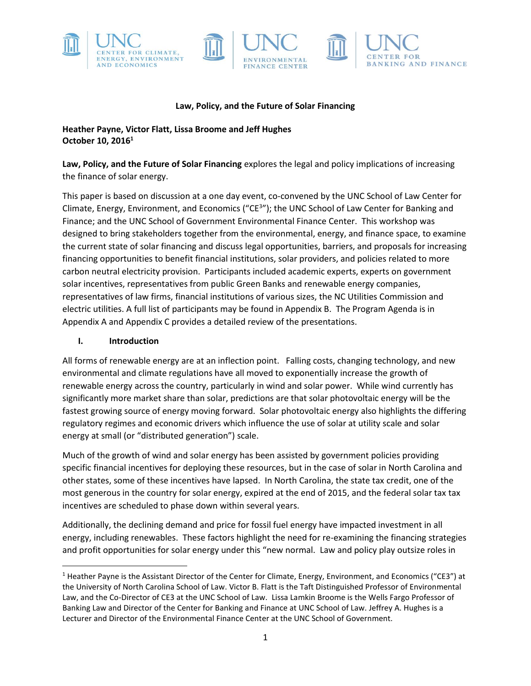





#### **Law, Policy, and the Future of Solar Financing**

## **Heather Payne, Victor Flatt, Lissa Broome and Jeff Hughes October 10, 2016<sup>1</sup>**

**Law, Policy, and the Future of Solar Financing** explores the legal and policy implications of increasing the finance of solar energy.

This paper is based on discussion at a one day event, co-convened by the UNC School of Law Center for Climate, Energy, Environment, and Economics ("CE<sup>3</sup>"); the UNC School of Law Center for Banking and Finance; and the UNC School of Government Environmental Finance Center. This workshop was designed to bring stakeholders together from the environmental, energy, and finance space, to examine the current state of solar financing and discuss legal opportunities, barriers, and proposals for increasing financing opportunities to benefit financial institutions, solar providers, and policies related to more carbon neutral electricity provision. Participants included academic experts, experts on government solar incentives, representatives from public Green Banks and renewable energy companies, representatives of law firms, financial institutions of various sizes, the NC Utilities Commission and electric utilities. A full list of participants may be found in Appendix B. The Program Agenda is in Appendix A and Appendix C provides a detailed review of the presentations.

### **I. Introduction**

l

All forms of renewable energy are at an inflection point. Falling costs, changing technology, and new environmental and climate regulations have all moved to exponentially increase the growth of renewable energy across the country, particularly in wind and solar power. While wind currently has significantly more market share than solar, predictions are that solar photovoltaic energy will be the fastest growing source of energy moving forward. Solar photovoltaic energy also highlights the differing regulatory regimes and economic drivers which influence the use of solar at utility scale and solar energy at small (or "distributed generation") scale.

Much of the growth of wind and solar energy has been assisted by government policies providing specific financial incentives for deploying these resources, but in the case of solar in North Carolina and other states, some of these incentives have lapsed. In North Carolina, the state tax credit, one of the most generous in the country for solar energy, expired at the end of 2015, and the federal solar tax tax incentives are scheduled to phase down within several years.

Additionally, the declining demand and price for fossil fuel energy have impacted investment in all energy, including renewables. These factors highlight the need for re-examining the financing strategies and profit opportunities for solar energy under this "new normal. Law and policy play outsize roles in

<sup>&</sup>lt;sup>1</sup> Heather Payne is the Assistant Director of the Center for Climate, Energy, Environment, and Economics ("CE3") at the University of North Carolina School of Law. Victor B. Flatt is the Taft Distinguished Professor of Environmental Law, and the Co-Director of CE3 at the UNC School of Law. Lissa Lamkin Broome is the Wells Fargo Professor of Banking Law and Director of the Center for Banking and Finance at UNC School of Law. Jeffrey A. Hughes is a Lecturer and Director of the Environmental Finance Center at the UNC School of Government.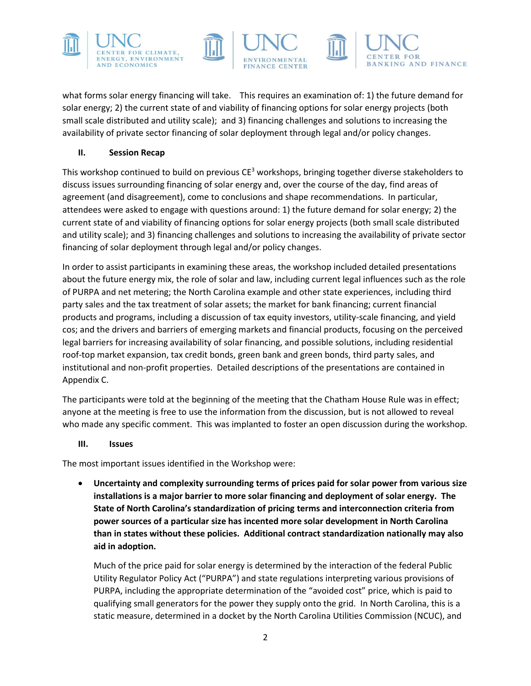





what forms solar energy financing will take. This requires an examination of: 1) the future demand for solar energy; 2) the current state of and viability of financing options for solar energy projects (both small scale distributed and utility scale); and 3) financing challenges and solutions to increasing the availability of private sector financing of solar deployment through legal and/or policy changes.

## **II. Session Recap**

This workshop continued to build on previous  $CE<sup>3</sup>$  workshops, bringing together diverse stakeholders to discuss issues surrounding financing of solar energy and, over the course of the day, find areas of agreement (and disagreement), come to conclusions and shape recommendations. In particular, attendees were asked to engage with questions around: 1) the future demand for solar energy; 2) the current state of and viability of financing options for solar energy projects (both small scale distributed and utility scale); and 3) financing challenges and solutions to increasing the availability of private sector financing of solar deployment through legal and/or policy changes.

In order to assist participants in examining these areas, the workshop included detailed presentations about the future energy mix, the role of solar and law, including current legal influences such as the role of PURPA and net metering; the North Carolina example and other state experiences, including third party sales and the tax treatment of solar assets; the market for bank financing; current financial products and programs, including a discussion of tax equity investors, utility-scale financing, and yield cos; and the drivers and barriers of emerging markets and financial products, focusing on the perceived legal barriers for increasing availability of solar financing, and possible solutions, including residential roof-top market expansion, tax credit bonds, green bank and green bonds, third party sales, and institutional and non-profit properties. Detailed descriptions of the presentations are contained in Appendix C.

The participants were told at the beginning of the meeting that the Chatham House Rule was in effect; anyone at the meeting is free to use the information from the discussion, but is not allowed to reveal who made any specific comment. This was implanted to foster an open discussion during the workshop.

### **III. Issues**

The most important issues identified in the Workshop were:

 **Uncertainty and complexity surrounding terms of prices paid for solar power from various size installations is a major barrier to more solar financing and deployment of solar energy. The State of North Carolina's standardization of pricing terms and interconnection criteria from power sources of a particular size has incented more solar development in North Carolina than in states without these policies. Additional contract standardization nationally may also aid in adoption.**

Much of the price paid for solar energy is determined by the interaction of the federal Public Utility Regulator Policy Act ("PURPA") and state regulations interpreting various provisions of PURPA, including the appropriate determination of the "avoided cost" price, which is paid to qualifying small generators for the power they supply onto the grid. In North Carolina, this is a static measure, determined in a docket by the North Carolina Utilities Commission (NCUC), and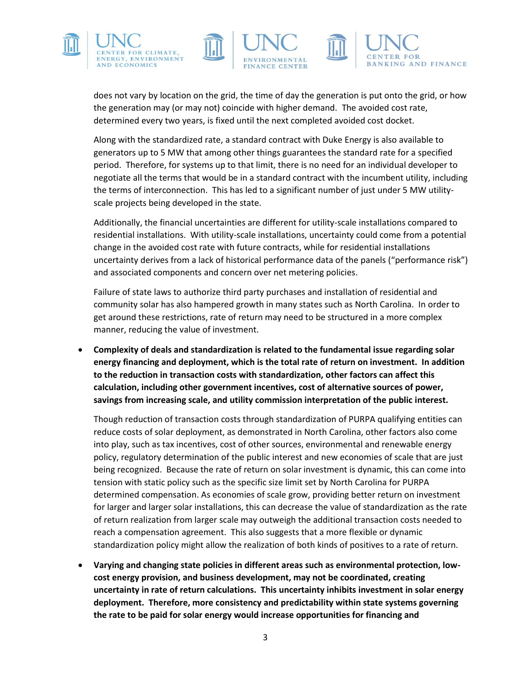





does not vary by location on the grid, the time of day the generation is put onto the grid, or how the generation may (or may not) coincide with higher demand. The avoided cost rate, determined every two years, is fixed until the next completed avoided cost docket.

Along with the standardized rate, a standard contract with Duke Energy is also available to generators up to 5 MW that among other things guarantees the standard rate for a specified period. Therefore, for systems up to that limit, there is no need for an individual developer to negotiate all the terms that would be in a standard contract with the incumbent utility, including the terms of interconnection. This has led to a significant number of just under 5 MW utilityscale projects being developed in the state.

Additionally, the financial uncertainties are different for utility-scale installations compared to residential installations. With utility-scale installations, uncertainty could come from a potential change in the avoided cost rate with future contracts, while for residential installations uncertainty derives from a lack of historical performance data of the panels ("performance risk") and associated components and concern over net metering policies.

Failure of state laws to authorize third party purchases and installation of residential and community solar has also hampered growth in many states such as North Carolina. In order to get around these restrictions, rate of return may need to be structured in a more complex manner, reducing the value of investment.

 **Complexity of deals and standardization is related to the fundamental issue regarding solar energy financing and deployment, which is the total rate of return on investment. In addition to the reduction in transaction costs with standardization, other factors can affect this calculation, including other government incentives, cost of alternative sources of power, savings from increasing scale, and utility commission interpretation of the public interest.**

Though reduction of transaction costs through standardization of PURPA qualifying entities can reduce costs of solar deployment, as demonstrated in North Carolina, other factors also come into play, such as tax incentives, cost of other sources, environmental and renewable energy policy, regulatory determination of the public interest and new economies of scale that are just being recognized. Because the rate of return on solar investment is dynamic, this can come into tension with static policy such as the specific size limit set by North Carolina for PURPA determined compensation. As economies of scale grow, providing better return on investment for larger and larger solar installations, this can decrease the value of standardization as the rate of return realization from larger scale may outweigh the additional transaction costs needed to reach a compensation agreement. This also suggests that a more flexible or dynamic standardization policy might allow the realization of both kinds of positives to a rate of return.

 **Varying and changing state policies in different areas such as environmental protection, lowcost energy provision, and business development, may not be coordinated, creating uncertainty in rate of return calculations. This uncertainty inhibits investment in solar energy deployment. Therefore, more consistency and predictability within state systems governing the rate to be paid for solar energy would increase opportunities for financing and**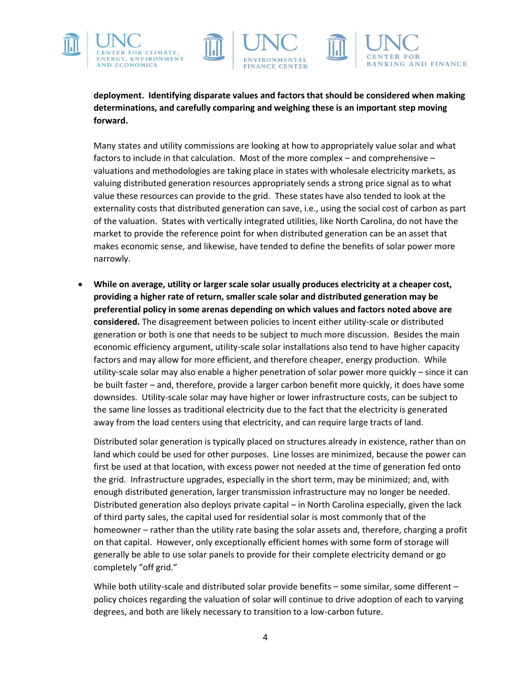





**deployment. Identifying disparate values and factors that should be considered when making determinations, and carefully comparing and weighing these is an important step moving forward.**

Many states and utility commissions are looking at how to appropriately value solar and what factors to include in that calculation. Most of the more complex – and comprehensive – valuations and methodologies are taking place in states with wholesale electricity markets, as valuing distributed generation resources appropriately sends a strong price signal as to what value these resources can provide to the grid. These states have also tended to look at the externality costs that distributed generation can save, i.e., using the social cost of carbon as part of the valuation. States with vertically integrated utilities, like North Carolina, do not have the market to provide the reference point for when distributed generation can be an asset that makes economic sense, and likewise, have tended to define the benefits of solar power more narrowly.

 **While on average, utility or larger scale solar usually produces electricity at a cheaper cost, providing a higher rate of return, smaller scale solar and distributed generation may be preferential policy in some arenas depending on which values and factors noted above are considered.** The disagreement between policies to incent either utility-scale or distributed generation or both is one that needs to be subject to much more discussion. Besides the main economic efficiency argument, utility-scale solar installations also tend to have higher capacity factors and may allow for more efficient, and therefore cheaper, energy production. While utility-scale solar may also enable a higher penetration of solar power more quickly – since it can be built faster – and, therefore, provide a larger carbon benefit more quickly, it does have some downsides. Utility-scale solar may have higher or lower infrastructure costs, can be subject to the same line losses as traditional electricity due to the fact that the electricity is generated away from the load centers using that electricity, and can require large tracts of land.

Distributed solar generation is typically placed on structures already in existence, rather than on land which could be used for other purposes. Line losses are minimized, because the power can first be used at that location, with excess power not needed at the time of generation fed onto the grid. Infrastructure upgrades, especially in the short term, may be minimized; and, with enough distributed generation, larger transmission infrastructure may no longer be needed. Distributed generation also deploys private capital – in North Carolina especially, given the lack of third party sales, the capital used for residential solar is most commonly that of the homeowner – rather than the utility rate basing the solar assets and, therefore, charging a profit on that capital. However, only exceptionally efficient homes with some form of storage will generally be able to use solar panels to provide for their complete electricity demand or go completely "off grid."

While both utility-scale and distributed solar provide benefits – some similar, some different – policy choices regarding the valuation of solar will continue to drive adoption of each to varying degrees, and both are likely necessary to transition to a low-carbon future.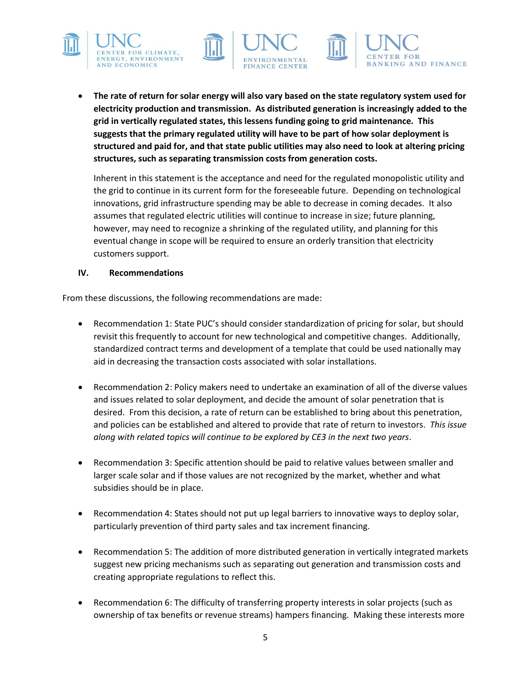





 **The rate of return for solar energy will also vary based on the state regulatory system used for electricity production and transmission. As distributed generation is increasingly added to the grid in vertically regulated states, this lessens funding going to grid maintenance. This suggests that the primary regulated utility will have to be part of how solar deployment is structured and paid for, and that state public utilities may also need to look at altering pricing structures, such as separating transmission costs from generation costs.**

Inherent in this statement is the acceptance and need for the regulated monopolistic utility and the grid to continue in its current form for the foreseeable future. Depending on technological innovations, grid infrastructure spending may be able to decrease in coming decades. It also assumes that regulated electric utilities will continue to increase in size; future planning, however, may need to recognize a shrinking of the regulated utility, and planning for this eventual change in scope will be required to ensure an orderly transition that electricity customers support.

### **IV. Recommendations**

From these discussions, the following recommendations are made:

- Recommendation 1: State PUC's should consider standardization of pricing for solar, but should revisit this frequently to account for new technological and competitive changes. Additionally, standardized contract terms and development of a template that could be used nationally may aid in decreasing the transaction costs associated with solar installations.
- Recommendation 2: Policy makers need to undertake an examination of all of the diverse values and issues related to solar deployment, and decide the amount of solar penetration that is desired. From this decision, a rate of return can be established to bring about this penetration, and policies can be established and altered to provide that rate of return to investors. *This issue along with related topics will continue to be explored by CE3 in the next two years*.
- Recommendation 3: Specific attention should be paid to relative values between smaller and larger scale solar and if those values are not recognized by the market, whether and what subsidies should be in place.
- Recommendation 4: States should not put up legal barriers to innovative ways to deploy solar, particularly prevention of third party sales and tax increment financing.
- Recommendation 5: The addition of more distributed generation in vertically integrated markets suggest new pricing mechanisms such as separating out generation and transmission costs and creating appropriate regulations to reflect this.
- Recommendation 6: The difficulty of transferring property interests in solar projects (such as ownership of tax benefits or revenue streams) hampers financing. Making these interests more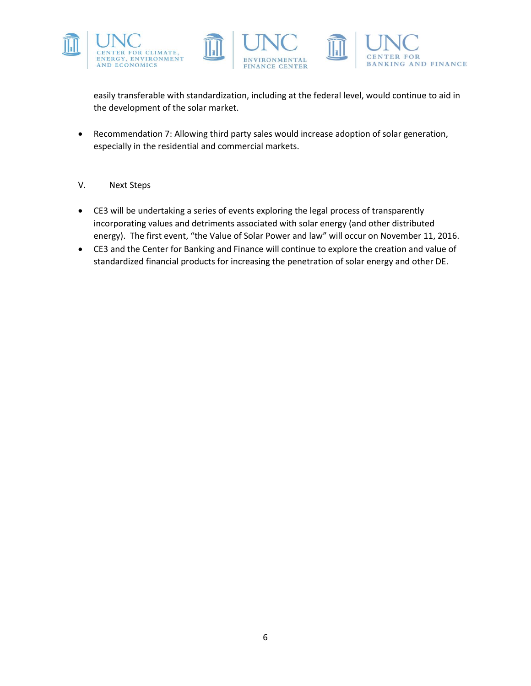





easily transferable with standardization, including at the federal level, would continue to aid in the development of the solar market.

- Recommendation 7: Allowing third party sales would increase adoption of solar generation, especially in the residential and commercial markets.
- V. Next Steps
- CE3 will be undertaking a series of events exploring the legal process of transparently incorporating values and detriments associated with solar energy (and other distributed energy). The first event, "the Value of Solar Power and law" will occur on November 11, 2016.
- CE3 and the Center for Banking and Finance will continue to explore the creation and value of standardized financial products for increasing the penetration of solar energy and other DE.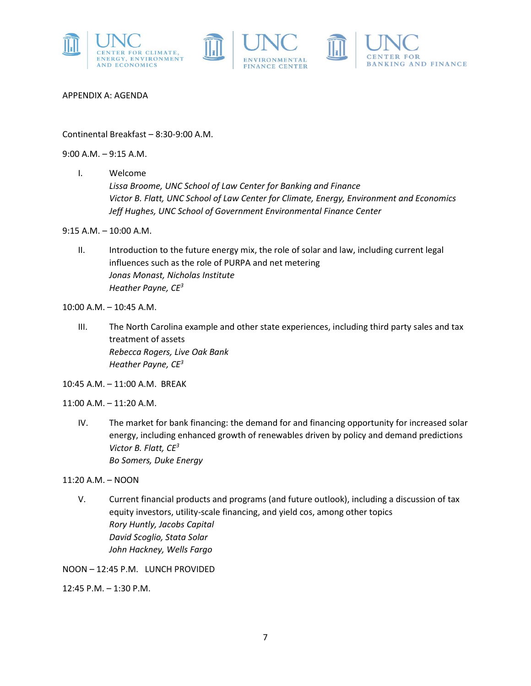





#### APPENDIX A: AGENDA

Continental Breakfast – 8:30-9:00 A.M.

#### 9:00 A.M. – 9:15 A.M.

- I. Welcome *Lissa Broome, UNC School of Law Center for Banking and Finance Victor B. Flatt, UNC School of Law Center for Climate, Energy, Environment and Economics Jeff Hughes, UNC School of Government Environmental Finance Center*
- 9:15 A.M. 10:00 A.M.
	- II. Introduction to the future energy mix, the role of solar and law, including current legal influences such as the role of PURPA and net metering *Jonas Monast, Nicholas Institute Heather Payne, CE<sup>3</sup>*
- 10:00 A.M. 10:45 A.M.
	- III. The North Carolina example and other state experiences, including third party sales and tax treatment of assets *Rebecca Rogers, Live Oak Bank Heather Payne, CE<sup>3</sup>*
- 10:45 A.M. 11:00 A.M. BREAK
- 11:00 A.M. 11:20 A.M.
	- IV. The market for bank financing: the demand for and financing opportunity for increased solar energy, including enhanced growth of renewables driven by policy and demand predictions *Victor B. Flatt, CE<sup>3</sup> Bo Somers, Duke Energy*
- 11:20 A.M. NOON
	- V. Current financial products and programs (and future outlook), including a discussion of tax equity investors, utility-scale financing, and yield cos, among other topics *Rory Huntly, Jacobs Capital David Scoglio, Stata Solar John Hackney, Wells Fargo*

NOON – 12:45 P.M. LUNCH PROVIDED

12:45 P.M. – 1:30 P.M.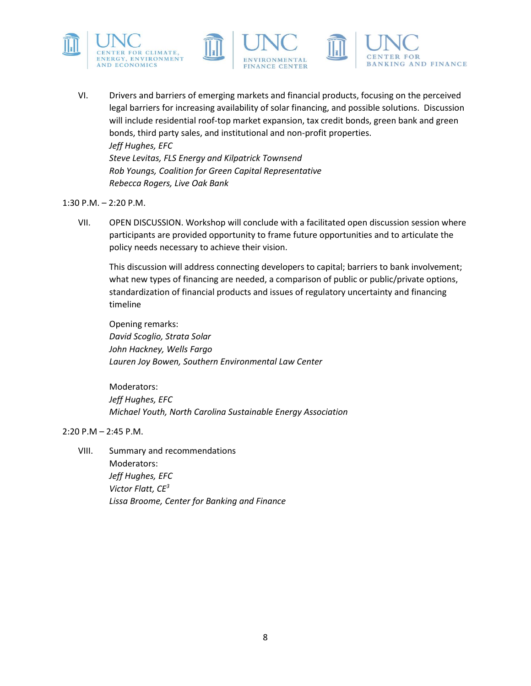





VI. Drivers and barriers of emerging markets and financial products, focusing on the perceived legal barriers for increasing availability of solar financing, and possible solutions. Discussion will include residential roof-top market expansion, tax credit bonds, green bank and green bonds, third party sales, and institutional and non-profit properties. *Jeff Hughes, EFC Steve Levitas, FLS Energy and Kilpatrick Townsend Rob Youngs, Coalition for Green Capital Representative Rebecca Rogers, Live Oak Bank*

### 1:30 P.M. – 2:20 P.M.

VII. OPEN DISCUSSION. Workshop will conclude with a facilitated open discussion session where participants are provided opportunity to frame future opportunities and to articulate the policy needs necessary to achieve their vision.

This discussion will address connecting developers to capital; barriers to bank involvement; what new types of financing are needed, a comparison of public or public/private options, standardization of financial products and issues of regulatory uncertainty and financing timeline

Opening remarks: *David Scoglio, Strata Solar John Hackney, Wells Fargo Lauren Joy Bowen, Southern Environmental Law Center*

Moderators: *Jeff Hughes, EFC Michael Youth, North Carolina Sustainable Energy Association*

#### 2:20 P.M – 2:45 P.M.

VIII. Summary and recommendations Moderators: *Jeff Hughes, EFC Victor Flatt, CE<sup>3</sup> Lissa Broome, Center for Banking and Finance*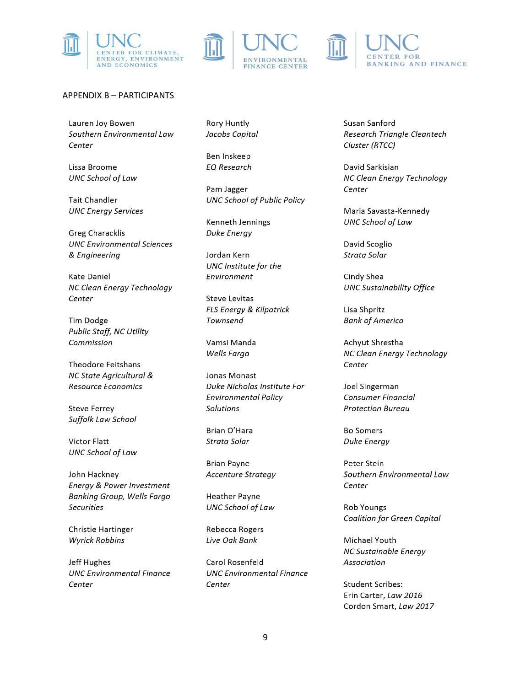





Lauren Joy Bowen Southern Environmental Law Center

Lissa Broome **UNC School of Law** 

**Tait Chandler UNC Energy Services** 

Greg Characklis **UNC Environmental Sciences** & Engineering

Kate Daniel NC Clean Energy Technology Center

**Tim Dodge** Public Staff, NC Utility Commission

**Theodore Feitshans** NC State Agricultural & Resource Economics

**Steve Ferrey** Suffolk Law School

**Victor Flatt UNC School of Law** 

John Hackney **Energy & Power Investment** Banking Group, Wells Fargo **Securities** 

Christie Hartinger **Wyrick Robbins** 

Jeff Hughes **UNC Environmental Finance** Center

**Rory Huntly** Jacobs Capital

Ben Inskeep **EQ Research** 

Pam Jagger **UNC School of Public Policy** 

Kenneth Jennings Duke Energy

Jordan Kern UNC Institute for the Environment

**Steve Levitas** FLS Energy & Kilpatrick Townsend

Vamsi Manda Wells Fargo

Jonas Monast Duke Nicholas Institute For **Environmental Policy Solutions** 

Brian O'Hara Strata Solar

**Brian Payne Accenture Strategy** 

Heather Payne **UNC School of Law** 

Rebecca Rogers Live Oak Bank

Carol Rosenfeld **UNC Environmental Finance** Center



Susan Sanford Research Triangle Cleantech Cluster (RTCC)

David Sarkisian NC Clean Energy Technology Center

Maria Savasta-Kennedy **UNC School of Law** 

David Scoglio Strata Solar

Cindy Shea **UNC Sustainability Office** 

Lisa Shpritz **Bank of America** 

Achyut Shrestha NC Clean Energy Technology Center

Joel Singerman **Consumer Financial Protection Bureau** 

**Bo Somers** Duke Energy

Peter Stein Southern Environmental Law Center

Rob Youngs Coalition for Green Capital

Michael Youth **NC Sustainable Energy** Association

**Student Scribes:** Erin Carter, Law 2016 Cordon Smart, Law 2017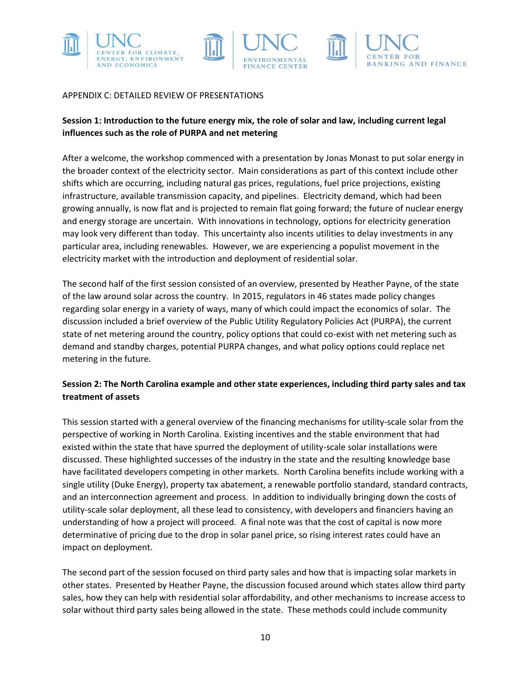





### APPENDIX C: DETAILED REVIEW OF PRESENTATIONS

# **Session 1: Introduction to the future energy mix, the role of solar and law, including current legal influences such as the role of PURPA and net metering**

After a welcome, the workshop commenced with a presentation by Jonas Monast to put solar energy in the broader context of the electricity sector. Main considerations as part of this context include other shifts which are occurring, including natural gas prices, regulations, fuel price projections, existing infrastructure, available transmission capacity, and pipelines. Electricity demand, which had been growing annually, is now flat and is projected to remain flat going forward; the future of nuclear energy and energy storage are uncertain. With innovations in technology, options for electricity generation may look very different than today. This uncertainty also incents utilities to delay investments in any particular area, including renewables. However, we are experiencing a populist movement in the electricity market with the introduction and deployment of residential solar.

The second half of the first session consisted of an overview, presented by Heather Payne, of the state of the law around solar across the country. In 2015, regulators in 46 states made policy changes regarding solar energy in a variety of ways, many of which could impact the economics of solar. The discussion included a brief overview of the Public Utility Regulatory Policies Act (PURPA), the current state of net metering around the country, policy options that could co-exist with net metering such as demand and standby charges, potential PURPA changes, and what policy options could replace net metering in the future.

# **Session 2: The North Carolina example and other state experiences, including third party sales and tax treatment of assets**

This session started with a general overview of the financing mechanisms for utility-scale solar from the perspective of working in North Carolina. Existing incentives and the stable environment that had existed within the state that have spurred the deployment of utility-scale solar installations were discussed. These highlighted successes of the industry in the state and the resulting knowledge base have facilitated developers competing in other markets. North Carolina benefits include working with a single utility (Duke Energy), property tax abatement, a renewable portfolio standard, standard contracts, and an interconnection agreement and process. In addition to individually bringing down the costs of utility-scale solar deployment, all these lead to consistency, with developers and financiers having an understanding of how a project will proceed. A final note was that the cost of capital is now more determinative of pricing due to the drop in solar panel price, so rising interest rates could have an impact on deployment.

The second part of the session focused on third party sales and how that is impacting solar markets in other states. Presented by Heather Payne, the discussion focused around which states allow third party sales, how they can help with residential solar affordability, and other mechanisms to increase access to solar without third party sales being allowed in the state. These methods could include community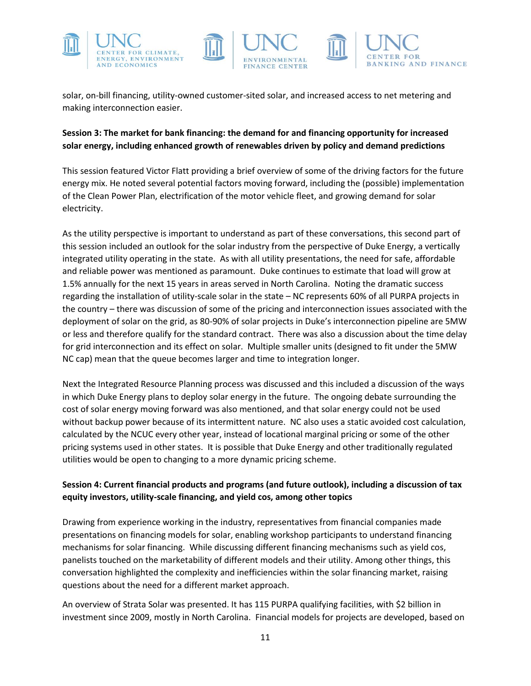





solar, on-bill financing, utility-owned customer-sited solar, and increased access to net metering and making interconnection easier.

## **Session 3: The market for bank financing: the demand for and financing opportunity for increased solar energy, including enhanced growth of renewables driven by policy and demand predictions**

This session featured Victor Flatt providing a brief overview of some of the driving factors for the future energy mix. He noted several potential factors moving forward, including the (possible) implementation of the Clean Power Plan, electrification of the motor vehicle fleet, and growing demand for solar electricity.

As the utility perspective is important to understand as part of these conversations, this second part of this session included an outlook for the solar industry from the perspective of Duke Energy, a vertically integrated utility operating in the state. As with all utility presentations, the need for safe, affordable and reliable power was mentioned as paramount. Duke continues to estimate that load will grow at 1.5% annually for the next 15 years in areas served in North Carolina. Noting the dramatic success regarding the installation of utility-scale solar in the state – NC represents 60% of all PURPA projects in the country – there was discussion of some of the pricing and interconnection issues associated with the deployment of solar on the grid, as 80-90% of solar projects in Duke's interconnection pipeline are 5MW or less and therefore qualify for the standard contract. There was also a discussion about the time delay for grid interconnection and its effect on solar. Multiple smaller units (designed to fit under the 5MW NC cap) mean that the queue becomes larger and time to integration longer.

Next the Integrated Resource Planning process was discussed and this included a discussion of the ways in which Duke Energy plans to deploy solar energy in the future. The ongoing debate surrounding the cost of solar energy moving forward was also mentioned, and that solar energy could not be used without backup power because of its intermittent nature. NC also uses a static avoided cost calculation, calculated by the NCUC every other year, instead of locational marginal pricing or some of the other pricing systems used in other states. It is possible that Duke Energy and other traditionally regulated utilities would be open to changing to a more dynamic pricing scheme.

## **Session 4: Current financial products and programs (and future outlook), including a discussion of tax equity investors, utility-scale financing, and yield cos, among other topics**

Drawing from experience working in the industry, representatives from financial companies made presentations on financing models for solar, enabling workshop participants to understand financing mechanisms for solar financing. While discussing different financing mechanisms such as yield cos, panelists touched on the marketability of different models and their utility. Among other things, this conversation highlighted the complexity and inefficiencies within the solar financing market, raising questions about the need for a different market approach.

An overview of Strata Solar was presented. It has 115 PURPA qualifying facilities, with \$2 billion in investment since 2009, mostly in North Carolina. Financial models for projects are developed, based on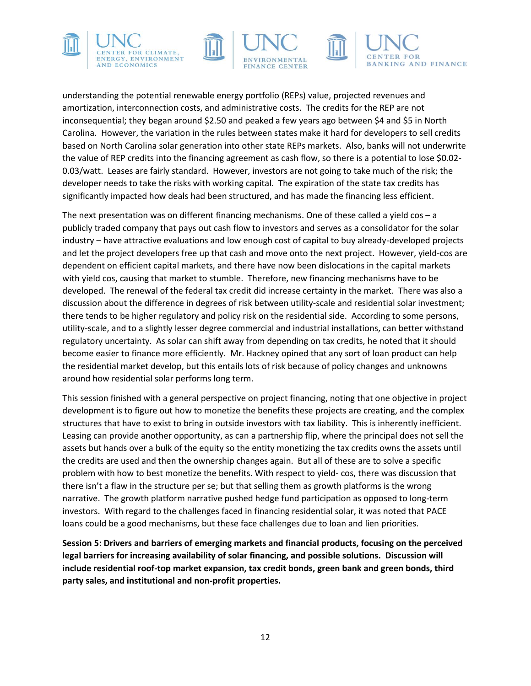





understanding the potential renewable energy portfolio (REPs) value, projected revenues and amortization, interconnection costs, and administrative costs. The credits for the REP are not inconsequential; they began around \$2.50 and peaked a few years ago between \$4 and \$5 in North Carolina. However, the variation in the rules between states make it hard for developers to sell credits based on North Carolina solar generation into other state REPs markets. Also, banks will not underwrite the value of REP credits into the financing agreement as cash flow, so there is a potential to lose \$0.02- 0.03/watt. Leases are fairly standard. However, investors are not going to take much of the risk; the developer needs to take the risks with working capital. The expiration of the state tax credits has significantly impacted how deals had been structured, and has made the financing less efficient.

The next presentation was on different financing mechanisms. One of these called a yield cos – a publicly traded company that pays out cash flow to investors and serves as a consolidator for the solar industry – have attractive evaluations and low enough cost of capital to buy already-developed projects and let the project developers free up that cash and move onto the next project. However, yield-cos are dependent on efficient capital markets, and there have now been dislocations in the capital markets with yield cos, causing that market to stumble. Therefore, new financing mechanisms have to be developed. The renewal of the federal tax credit did increase certainty in the market. There was also a discussion about the difference in degrees of risk between utility-scale and residential solar investment; there tends to be higher regulatory and policy risk on the residential side. According to some persons, utility-scale, and to a slightly lesser degree commercial and industrial installations, can better withstand regulatory uncertainty. As solar can shift away from depending on tax credits, he noted that it should become easier to finance more efficiently. Mr. Hackney opined that any sort of loan product can help the residential market develop, but this entails lots of risk because of policy changes and unknowns around how residential solar performs long term.

This session finished with a general perspective on project financing, noting that one objective in project development is to figure out how to monetize the benefits these projects are creating, and the complex structures that have to exist to bring in outside investors with tax liability. This is inherently inefficient. Leasing can provide another opportunity, as can a partnership flip, where the principal does not sell the assets but hands over a bulk of the equity so the entity monetizing the tax credits owns the assets until the credits are used and then the ownership changes again. But all of these are to solve a specific problem with how to best monetize the benefits. With respect to yield- cos, there was discussion that there isn't a flaw in the structure per se; but that selling them as growth platforms is the wrong narrative. The growth platform narrative pushed hedge fund participation as opposed to long-term investors. With regard to the challenges faced in financing residential solar, it was noted that PACE loans could be a good mechanisms, but these face challenges due to loan and lien priorities.

**Session 5: Drivers and barriers of emerging markets and financial products, focusing on the perceived legal barriers for increasing availability of solar financing, and possible solutions. Discussion will include residential roof-top market expansion, tax credit bonds, green bank and green bonds, third party sales, and institutional and non-profit properties.**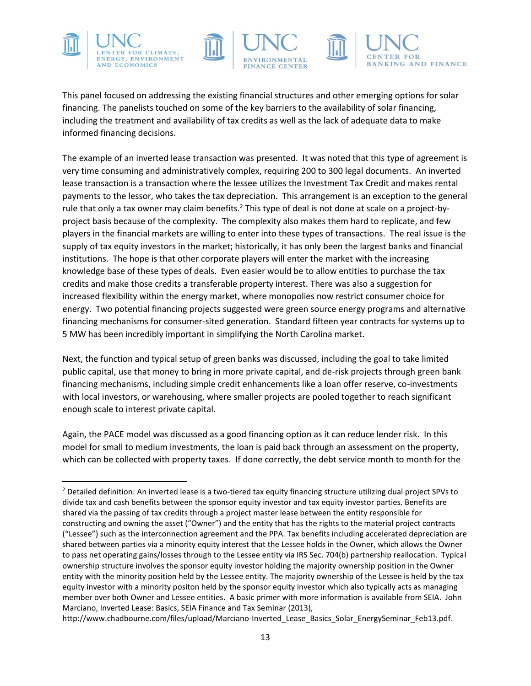

 $\overline{a}$ 





This panel focused on addressing the existing financial structures and other emerging options for solar financing. The panelists touched on some of the key barriers to the availability of solar financing, including the treatment and availability of tax credits as well as the lack of adequate data to make informed financing decisions.

The example of an inverted lease transaction was presented. It was noted that this type of agreement is very time consuming and administratively complex, requiring 200 to 300 legal documents. An inverted lease transaction is a transaction where the lessee utilizes the Investment Tax Credit and makes rental payments to the lessor, who takes the tax depreciation. This arrangement is an exception to the general rule that only a tax owner may claim benefits.<sup>2</sup> This type of deal is not done at scale on a project-byproject basis because of the complexity. The complexity also makes them hard to replicate, and few players in the financial markets are willing to enter into these types of transactions. The real issue is the supply of tax equity investors in the market; historically, it has only been the largest banks and financial institutions. The hope is that other corporate players will enter the market with the increasing knowledge base of these types of deals. Even easier would be to allow entities to purchase the tax credits and make those credits a transferable property interest. There was also a suggestion for increased flexibility within the energy market, where monopolies now restrict consumer choice for energy. Two potential financing projects suggested were green source energy programs and alternative financing mechanisms for consumer-sited generation. Standard fifteen year contracts for systems up to 5 MW has been incredibly important in simplifying the North Carolina market.

Next, the function and typical setup of green banks was discussed, including the goal to take limited public capital, use that money to bring in more private capital, and de-risk projects through green bank financing mechanisms, including simple credit enhancements like a loan offer reserve, co-investments with local investors, or warehousing, where smaller projects are pooled together to reach significant enough scale to interest private capital.

Again, the PACE model was discussed as a good financing option as it can reduce lender risk. In this model for small to medium investments, the loan is paid back through an assessment on the property, which can be collected with property taxes. If done correctly, the debt service month to month for the

<sup>&</sup>lt;sup>2</sup> Detailed definition: An inverted lease is a two-tiered tax equity financing structure utilizing dual project SPVs to divide tax and cash benefits between the sponsor equity investor and tax equity investor parties. Benefits are shared via the passing of tax credits through a project master lease between the entity responsible for constructing and owning the asset ("Owner") and the entity that has the rights to the material project contracts ("Lessee") such as the interconnection agreement and the PPA. Tax benefits including accelerated depreciation are shared between parties via a minority equity interest that the Lessee holds in the Owner, which allows the Owner to pass net operating gains/losses through to the Lessee entity via IRS Sec. 704(b) partnership reallocation. Typical ownership structure involves the sponsor equity investor holding the majority ownership position in the Owner entity with the minority position held by the Lessee entity. The majority ownership of the Lessee is held by the tax equity investor with a minority positon held by the sponsor equity investor which also typically acts as managing member over both Owner and Lessee entities. A basic primer with more information is available from SEIA. John Marciano, Inverted Lease: Basics, SEIA Finance and Tax Seminar (2013),

http://www.chadbourne.com/files/upload/Marciano-Inverted Lease Basics Solar EnergySeminar Feb13.pdf.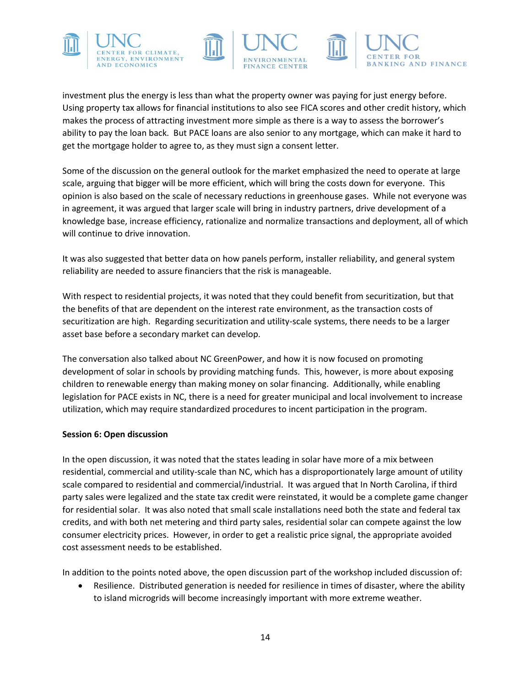





investment plus the energy is less than what the property owner was paying for just energy before. Using property tax allows for financial institutions to also see FICA scores and other credit history, which makes the process of attracting investment more simple as there is a way to assess the borrower's ability to pay the loan back. But PACE loans are also senior to any mortgage, which can make it hard to get the mortgage holder to agree to, as they must sign a consent letter.

Some of the discussion on the general outlook for the market emphasized the need to operate at large scale, arguing that bigger will be more efficient, which will bring the costs down for everyone. This opinion is also based on the scale of necessary reductions in greenhouse gases. While not everyone was in agreement, it was argued that larger scale will bring in industry partners, drive development of a knowledge base, increase efficiency, rationalize and normalize transactions and deployment, all of which will continue to drive innovation.

It was also suggested that better data on how panels perform, installer reliability, and general system reliability are needed to assure financiers that the risk is manageable.

With respect to residential projects, it was noted that they could benefit from securitization, but that the benefits of that are dependent on the interest rate environment, as the transaction costs of securitization are high. Regarding securitization and utility-scale systems, there needs to be a larger asset base before a secondary market can develop.

The conversation also talked about NC GreenPower, and how it is now focused on promoting development of solar in schools by providing matching funds. This, however, is more about exposing children to renewable energy than making money on solar financing. Additionally, while enabling legislation for PACE exists in NC, there is a need for greater municipal and local involvement to increase utilization, which may require standardized procedures to incent participation in the program.

### **Session 6: Open discussion**

In the open discussion, it was noted that the states leading in solar have more of a mix between residential, commercial and utility-scale than NC, which has a disproportionately large amount of utility scale compared to residential and commercial/industrial. It was argued that In North Carolina, if third party sales were legalized and the state tax credit were reinstated, it would be a complete game changer for residential solar. It was also noted that small scale installations need both the state and federal tax credits, and with both net metering and third party sales, residential solar can compete against the low consumer electricity prices. However, in order to get a realistic price signal, the appropriate avoided cost assessment needs to be established.

In addition to the points noted above, the open discussion part of the workshop included discussion of:

 Resilience. Distributed generation is needed for resilience in times of disaster, where the ability to island microgrids will become increasingly important with more extreme weather.